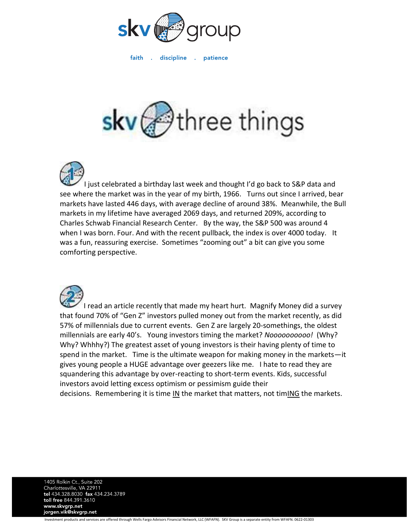

faith discipline . patience  $\sim 10^7$ 

## three things



I just celebrated a birthday last week and thought I'd go back to S&P data and see where the market was in the year of my birth, 1966. Turns out since I arrived, bear markets have lasted 446 days, with average decline of around 38%. Meanwhile, the Bull markets in my lifetime have averaged 2069 days, and returned 209%, according to Charles Schwab Financial Research Center. By the way, the S&P 500 was around 4 when I was born. Four. And with the recent pullback, the index is over 4000 today. It was a fun, reassuring exercise. Sometimes "zooming out" a bit can give you some comforting perspective.



I read an article recently that made my heart hurt. Magnify Money did a survey that found 70% of "Gen Z" investors pulled money out from the market recently, as did 57% of millennials due to current events. Gen Z are largely 20-somethings, the oldest millennials are early 40's. Young investors timing the market? *Noooooooooo!* (Why? Why? Whhhy?) The greatest asset of young investors is their having plenty of time to spend in the market. Time is the ultimate weapon for making money in the markets—it gives young people a HUGE advantage over geezers like me. I hate to read they are squandering this advantage by over-reacting to short-term events. Kids, successful investors avoid letting excess optimism or pessimism guide their decisions. Remembering it is time  $\underline{\mathsf{IN}}$  the market that matters, not tim $\underline{\mathsf{ING}}$  the markets.

1405 Rolkin Ct., Suite 202 Charlottesville, VA 22911<br>tel 434.328.8030 fax 434.234.3789 toll free 844.391.3610 www.skvgrp.net jorgen.vik@skvgrp.net

Investment products and services are offered through Wells Fargo Advisors Financial Network, LLC (WFAFN). SKV Group is a separate entity from WFAFN. 0622-01303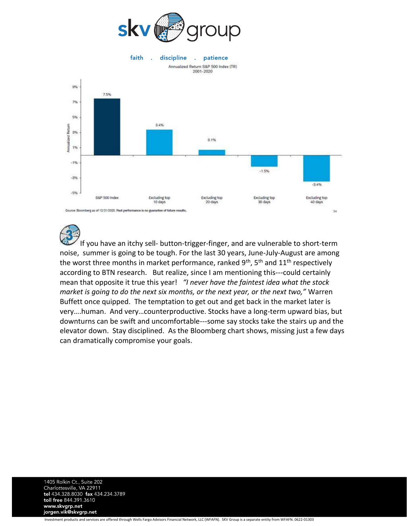

faith discipline patience  $\mathbb{R}^2$  $\sim$ 



If you have an itchy sell- button-trigger-finger, and are vulnerable to short-term noise, summer is going to be tough. For the last 30 years, June-July-August are among the worst three months in market performance, ranked  $9<sup>th</sup>$ , 5<sup>th</sup> and  $11<sup>th</sup>$  respectively according to BTN research. But realize, since I am mentioning this---could certainly mean that opposite it true this year! *"I never have the faintest idea what the stock market is going to do the next six months, or the next year, or the next two,"* Warren Buffett once quipped. The temptation to get out and get back in the market later is very….human. And very…counterproductive. Stocks have a long-term upward bias, but downturns can be swift and uncomfortable---some say stocks take the stairs up and the elevator down. Stay disciplined. As the Bloomberg chart shows, missing just a few days can dramatically compromise your goals.

1405 Rolkin Ct., Suite 202 Charlottesville, VA 22911 tel 434.328.8030 fax 434.234.3789 toll free 844.391.3610 www.skvgrp.net jorgen.vik@skvgrp.net

Investment products and services are offered through Wells Fargo Advisors Financial Network, LLC (WFAFN). SKV Group is a separate entity from WFAFN. 0622-01303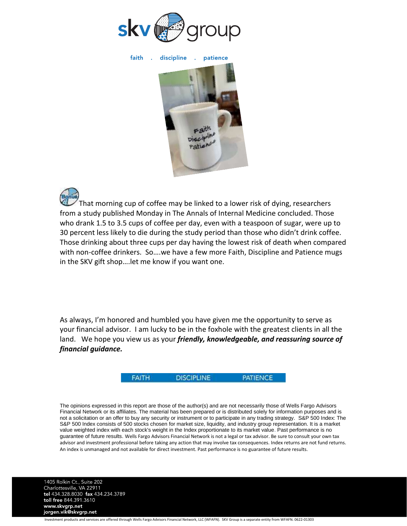

faith discipline . patience



That morning cup of coffee may be linked to a lower risk of dying, researchers from a study published Monday in The Annals of Internal Medicine concluded. Those who drank 1.5 to 3.5 cups of coffee per day, even with a teaspoon of sugar, were up to 30 percent less likely to die during the study period than those who didn't drink coffee. Those drinking about three cups per day having the lowest risk of death when compared with non-coffee drinkers. So….we have a few more Faith, Discipline and Patience mugs in the SKV gift shop….let me know if you want one.

As always, I'm honored and humbled you have given me the opportunity to serve as your financial advisor. I am lucky to be in the foxhole with the greatest clients in all the land. We hope you view us as your *friendly, knowledgeable, and reassuring source of financial guidance.*



The opinions expressed in this report are those of the author(s) and are not necessarily those of Wells Fargo Advisors Financial Network or its affiliates. The material has been prepared or is distributed solely for information purposes and is not a solicitation or an offer to buy any security or instrument or to participate in any trading strategy. S&P 500 Index: The S&P 500 Index consists of 500 stocks chosen for market size, liquidity, and industry group representation. It is a market value weighted index with each stock's weight in the Index proportionate to its market value. Past performance is no guarantee of future results. Wells Fargo Advisors Financial Network is not a legal or tax advisor. Be sure to consult your own tax advisor and investment professional before taking any action that may involve tax consequences. Index returns are not fund returns. An index is unmanaged and not available for direct investment. Past performance is no guarantee of future results.

1405 Rolkin Ct., Suite 202 Charlottesville, VA 22911<br>tel 434.328.8030 fax 434.234.3789 toll free 844.391.3610 www.skvgrp.net jorgen.vik@skvgrp.net

Investment products and services are offered through Wells Fargo Advisors Financial Network, LLC (WFAFN). SKV Group is a separate entity from WFAFN. 0622-01303